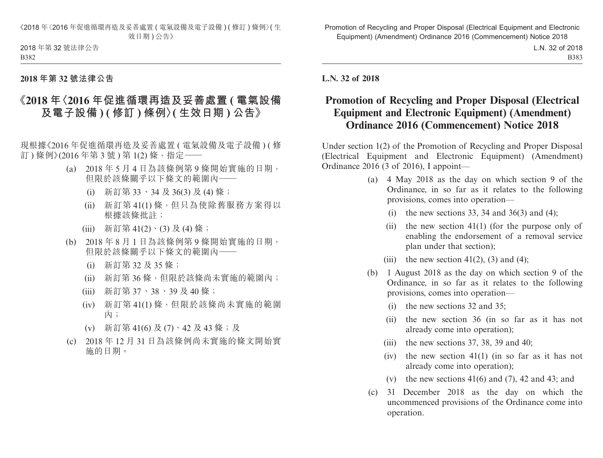《2018 年〈2016 年促進循環再造及妥善處置 ( 電氣設備及電子設備 ) ( 修訂 ) 條例〉( 生 效日期)公告》

2018 年第 32 號法律公告 B382

## **2018 年第 32 號法律公告**

## **《2018 年〈2016 年促進循環再造及妥善處置 ( 電氣設備 及電子設備 ) ( 修訂 ) 條例〉( 生效日期 ) 公告》**

現根據《2016 年促進循環再造及妥善處置 ( 電氣設備及電子設備 ) ( 修 訂)條例》(2016年第3號)第1(2)條,指定––

- (a) 2018 年 5 月 4 日為該條例第 9 條開始實施的日期, 但限於該條關乎以下條文的範圍內——
	- (i) 新訂第 33、34 及 36(3) 及 (4) 條;
	- (ii) 新訂第 41(1) 條,但只為使除舊服務方案得以 根據該條批註;
	- (iii) 新訂第 41(2)、(3) 及 (4) 條;
- (b) 2018 年 8 月 1 日為該條例第 9 條開始實施的日期, 但限於該條關乎以下條文的範圍內——
	- (i) 新訂第 32 及 35 條;
	- (ii) 新訂第 36 條,但限於該條尚未實施的範圍內;
	- (iii) 新訂第 37、38、39 及 40 條;
	- (iv) 新訂第 41(1) 條,但限於該條尚未實施的範圍 內;
	- (v) 新訂第 41(6) 及 (7)、42 及 43 條;及
- (c) 2018 年 12 月 31 日為該條例尚未實施的條文開始實 施的日期。